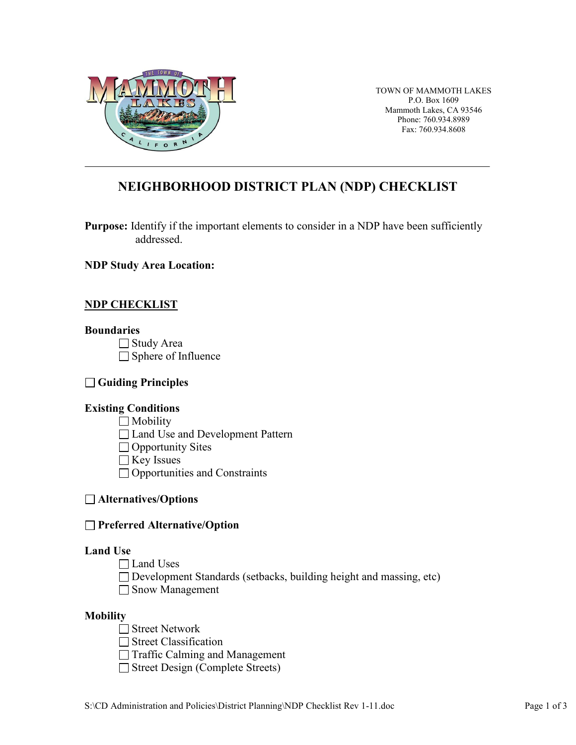

TOWN OF MAMMOTH LAKES P.O. Box 1609 Mammoth Lakes, CA 93546 Phone: 760.934.8989 Fax: 760.934.8608

# **NEIGHBORHOOD DISTRICT PLAN (NDP) CHECKLIST**

**Purpose:** Identify if the important elements to consider in a NDP have been sufficiently addressed.

**NDP Study Area Location:**

# **NDP CHECKLIST**

#### **Boundaries**

□ Study Area □ Sphere of Influence

# **Guiding Principles**

# **Existing Conditions**

 $\Box$  Mobility

- □ Land Use and Development Pattern
- $\Box$  Opportunity Sites
- $\Box$  Key Issues
- $\Box$  Opportunities and Constraints

# **Alternatives/Options**

# **Preferred Alternative/Option**

# **Land Use**

- Land Uses
- $\Box$  Development Standards (setbacks, building height and massing, etc)
- □ Snow Management

# **Mobility**

- $\Box$  Street Network
- Street Classification
- Traffic Calming and Management
- $\Box$  Street Design (Complete Streets)